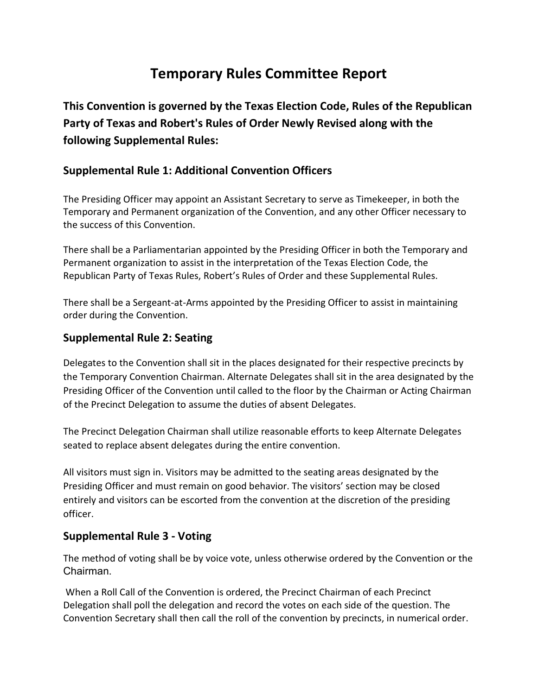# Temporary Rules Committee Report

This Convention is governed by the Texas Election Code, Rules of the Republican Party of Texas and Robert's Rules of Order Newly Revised along with the following Supplemental Rules:

#### Supplemental Rule 1: Additional Convention Officers

The Presiding Officer may appoint an Assistant Secretary to serve as Timekeeper, in both the Temporary and Permanent organization of the Convention, and any other Officer necessary to the success of this Convention.

There shall be a Parliamentarian appointed by the Presiding Officer in both the Temporary and Permanent organization to assist in the interpretation of the Texas Election Code, the Republican Party of Texas Rules, Robert's Rules of Order and these Supplemental Rules.

There shall be a Sergeant-at-Arms appointed by the Presiding Officer to assist in maintaining order during the Convention.

#### Supplemental Rule 2: Seating

Delegates to the Convention shall sit in the places designated for their respective precincts by the Temporary Convention Chairman. Alternate Delegates shall sit in the area designated by the Presiding Officer of the Convention until called to the floor by the Chairman or Acting Chairman of the Precinct Delegation to assume the duties of absent Delegates.

The Precinct Delegation Chairman shall utilize reasonable efforts to keep Alternate Delegates seated to replace absent delegates during the entire convention.

All visitors must sign in. Visitors may be admitted to the seating areas designated by the Presiding Officer and must remain on good behavior. The visitors' section may be closed entirely and visitors can be escorted from the convention at the discretion of the presiding officer.

#### Supplemental Rule 3 - Voting

The method of voting shall be by voice vote, unless otherwise ordered by the Convention or the Chairman.

 When a Roll Call of the Convention is ordered, the Precinct Chairman of each Precinct Delegation shall poll the delegation and record the votes on each side of the question. The Convention Secretary shall then call the roll of the convention by precincts, in numerical order.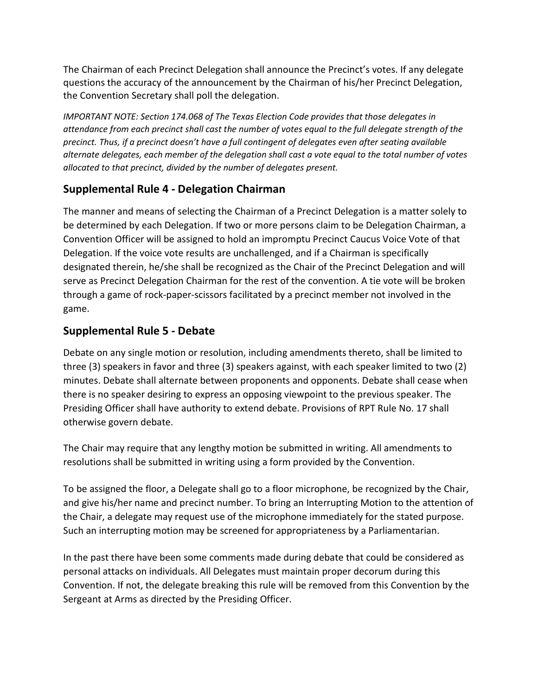The Chairman of each Precinct Delegation shall announce the Precinct's votes. If any delegate questions the accuracy of the announcement by the Chairman of his/her Precinct Delegation, the Convention Secretary shall poll the delegation.

IMPORTANT NOTE: Section 174.068 of The Texas Election Code provides that those delegates in attendance from each precinct shall cast the number of votes equal to the full delegate strength of the precinct. Thus, if a precinct doesn't have a full contingent of delegates even after seating available alternate delegates, each member of the delegation shall cast a vote equal to the total number of votes allocated to that precinct, divided by the number of delegates present.

## Supplemental Rule 4 - Delegation Chairman

The manner and means of selecting the Chairman of a Precinct Delegation is a matter solely to be determined by each Delegation. If two or more persons claim to be Delegation Chairman, a Convention Officer will be assigned to hold an impromptu Precinct Caucus Voice Vote of that Delegation. If the voice vote results are unchallenged, and if a Chairman is specifically designated therein, he/she shall be recognized as the Chair of the Precinct Delegation and will serve as Precinct Delegation Chairman for the rest of the convention. A tie vote will be broken through a game of rock-paper-scissors facilitated by a precinct member not involved in the game.

### Supplemental Rule 5 - Debate

Debate on any single motion or resolution, including amendments thereto, shall be limited to three (3) speakers in favor and three (3) speakers against, with each speaker limited to two (2) minutes. Debate shall alternate between proponents and opponents. Debate shall cease when there is no speaker desiring to express an opposing viewpoint to the previous speaker. The Presiding Officer shall have authority to extend debate. Provisions of RPT Rule No. 17 shall otherwise govern debate.

The Chair may require that any lengthy motion be submitted in writing. All amendments to resolutions shall be submitted in writing using a form provided by the Convention.

To be assigned the floor, a Delegate shall go to a floor microphone, be recognized by the Chair, and give his/her name and precinct number. To bring an Interrupting Motion to the attention of the Chair, a delegate may request use of the microphone immediately for the stated purpose. Such an interrupting motion may be screened for appropriateness by a Parliamentarian.

In the past there have been some comments made during debate that could be considered as personal attacks on individuals. All Delegates must maintain proper decorum during this Convention. If not, the delegate breaking this rule will be removed from this Convention by the Sergeant at Arms as directed by the Presiding Officer.